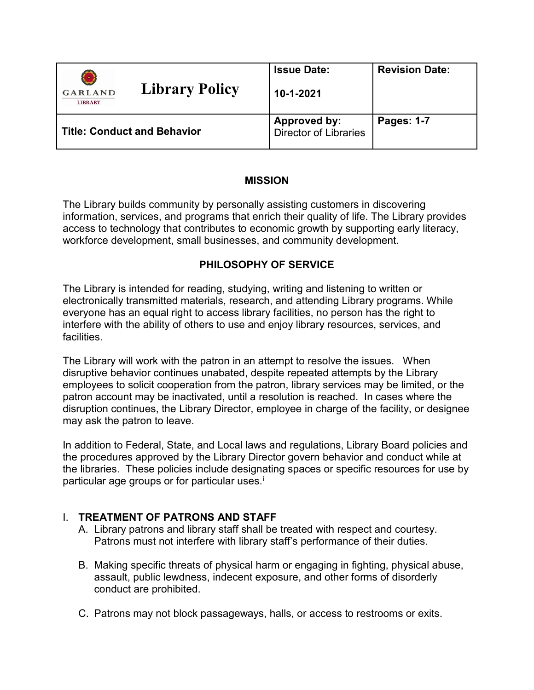| <b>Library Policy</b><br><b>GARLAND</b><br><b>LIBRARY</b> | <b>Issue Date:</b><br>10-1-2021              | <b>Revision Date:</b> |
|-----------------------------------------------------------|----------------------------------------------|-----------------------|
| <b>Title: Conduct and Behavior</b>                        | <b>Approved by:</b><br>Director of Libraries | Pages: 1-7            |

### **MISSION**

The Library builds community by personally assisting customers in discovering information, services, and programs that enrich their quality of life. The Library provides access to technology that contributes to economic growth by supporting early literacy, workforce development, small businesses, and community development.

# **PHILOSOPHY OF SERVICE**

The Library is intended for reading, studying, writing and listening to written or electronically transmitted materials, research, and attending Library programs. While everyone has an equal right to access library facilities, no person has the right to interfere with the ability of others to use and enjoy library resources, services, and facilities.

The Library will work with the patron in an attempt to resolve the issues. When disruptive behavior continues unabated, despite repeated attempts by the Library employees to solicit cooperation from the patron, library services may be limited, or the patron account may be inactivated, until a resolution is reached. In cases where the disruption continues, the Library Director, employee in charge of the facility, or designee may ask the patron to leave.

In addition to Federal, State, and Local laws and regulations, Library Board policies and the procedures approved by the Library Director govern behavior and conduct while at the libraries. These policies include designating spaces or specific resources for use by part[i](#page-6-0)cular age groups or for particular uses.<sup>i</sup>

# I. **TREATMENT OF PATRONS AND STAFF**

- A. Library patrons and library staff shall be treated with respect and courtesy. Patrons must not interfere with library staff's performance of their duties.
- B. Making specific threats of physical harm or engaging in fighting, physical abuse, assault, public lewdness, indecent exposure, and other forms of disorderly conduct are prohibited.
- C. Patrons may not block passageways, halls, or access to restrooms or exits.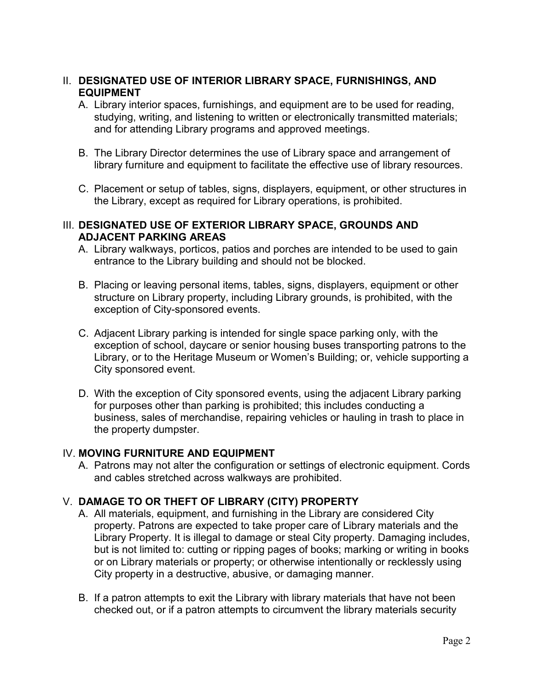## II. **DESIGNATED USE OF INTERIOR LIBRARY SPACE, FURNISHINGS, AND EQUIPMENT**

- A. Library interior spaces, furnishings, and equipment are to be used for reading, studying, writing, and listening to written or electronically transmitted materials; and for attending Library programs and approved meetings.
- B. The Library Director determines the use of Library space and arrangement of library furniture and equipment to facilitate the effective use of library resources.
- C. Placement or setup of tables, signs, displayers, equipment, or other structures in the Library, except as required for Library operations, is prohibited.

#### III. **DESIGNATED USE OF EXTERIOR LIBRARY SPACE, GROUNDS AND ADJACENT PARKING AREAS**

- A. Library walkways, porticos, patios and porches are intended to be used to gain entrance to the Library building and should not be blocked.
- B. Placing or leaving personal items, tables, signs, displayers, equipment or other structure on Library property, including Library grounds, is prohibited, with the exception of City-sponsored events.
- C. Adjacent Library parking is intended for single space parking only, with the exception of school, daycare or senior housing buses transporting patrons to the Library, or to the Heritage Museum or Women's Building; or, vehicle supporting a City sponsored event.
- D. With the exception of City sponsored events, using the adjacent Library parking for purposes other than parking is prohibited; this includes conducting a business, sales of merchandise, repairing vehicles or hauling in trash to place in the property dumpster.

### IV. **MOVING FURNITURE AND EQUIPMENT**

A. Patrons may not alter the configuration or settings of electronic equipment. Cords and cables stretched across walkways are prohibited.

# V. **DAMAGE TO OR THEFT OF LIBRARY (CITY) PROPERTY**

- A. All materials, equipment, and furnishing in the Library are considered City property. Patrons are expected to take proper care of Library materials and the Library Property. It is illegal to damage or steal City property. Damaging includes, but is not limited to: cutting or ripping pages of books; marking or writing in books or on Library materials or property; or otherwise intentionally or recklessly using City property in a destructive, abusive, or damaging manner.
- B. If a patron attempts to exit the Library with library materials that have not been checked out, or if a patron attempts to circumvent the library materials security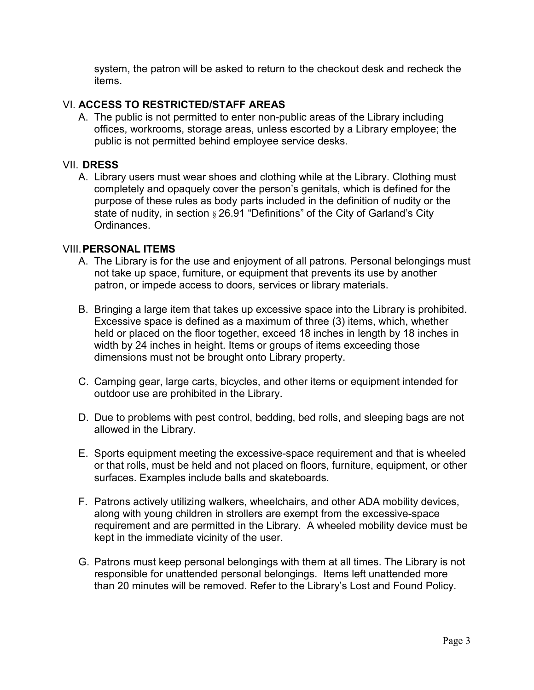system, the patron will be asked to return to the checkout desk and recheck the items.

### VI. **ACCESS TO RESTRICTED/STAFF AREAS**

A. The public is not permitted to enter non-public areas of the Library including offices, workrooms, storage areas, unless escorted by a Library employee; the public is not permitted behind employee service desks.

#### VII. **DRESS**

A. Library users must wear shoes and clothing while at the Library. Clothing must completely and opaquely cover the person's genitals, which is defined for the purpose of these rules as body parts included in the definition of nudity or the state of nudity, in section § 26.91 "Definitions" of the City of Garland's City Ordinances.

#### VIII.**PERSONAL ITEMS**

- A. The Library is for the use and enjoyment of all patrons. Personal belongings must not take up space, furniture, or equipment that prevents its use by another patron, or impede access to doors, services or library materials.
- B. Bringing a large item that takes up excessive space into the Library is prohibited. Excessive space is defined as a maximum of three (3) items, which, whether held or placed on the floor together, exceed 18 inches in length by 18 inches in width by 24 inches in height. Items or groups of items exceeding those dimensions must not be brought onto Library property.
- C. Camping gear, large carts, bicycles, and other items or equipment intended for outdoor use are prohibited in the Library.
- D. Due to problems with pest control, bedding, bed rolls, and sleeping bags are not allowed in the Library.
- E. Sports equipment meeting the excessive-space requirement and that is wheeled or that rolls, must be held and not placed on floors, furniture, equipment, or other surfaces. Examples include balls and skateboards.
- F. Patrons actively utilizing walkers, wheelchairs, and other ADA mobility devices, along with young children in strollers are exempt from the excessive-space requirement and are permitted in the Library. A wheeled mobility device must be kept in the immediate vicinity of the user.
- G. Patrons must keep personal belongings with them at all times. The Library is not responsible for unattended personal belongings. Items left unattended more than 20 minutes will be removed. Refer to the Library's Lost and Found Policy.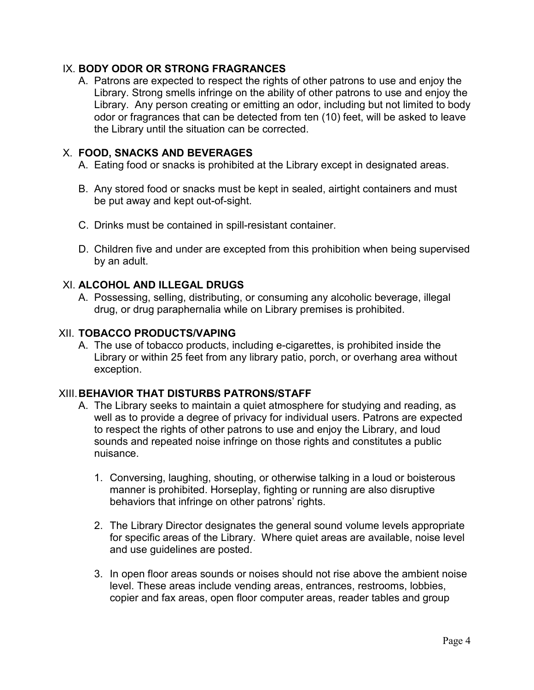## IX. **BODY ODOR OR STRONG FRAGRANCES**

A. Patrons are expected to respect the rights of other patrons to use and enjoy the Library. Strong smells infringe on the ability of other patrons to use and enjoy the Library. Any person creating or emitting an odor, including but not limited to body odor or fragrances that can be detected from ten (10) feet, will be asked to leave the Library until the situation can be corrected.

## X. **FOOD, SNACKS AND BEVERAGES**

- A. Eating food or snacks is prohibited at the Library except in designated areas.
- B. Any stored food or snacks must be kept in sealed, airtight containers and must be put away and kept out-of-sight.
- C. Drinks must be contained in spill-resistant container.
- D. Children five and under are excepted from this prohibition when being supervised by an adult.

## XI. **ALCOHOL AND ILLEGAL DRUGS**

A. Possessing, selling, distributing, or consuming any alcoholic beverage, illegal drug, or drug paraphernalia while on Library premises is prohibited.

### XII. **TOBACCO PRODUCTS/VAPING**

A. The use of tobacco products, including e-cigarettes, is prohibited inside the Library or within 25 feet from any library patio, porch, or overhang area without exception.

# XIII.**BEHAVIOR THAT DISTURBS PATRONS/STAFF**

- A. The Library seeks to maintain a quiet atmosphere for studying and reading, as well as to provide a degree of privacy for individual users. Patrons are expected to respect the rights of other patrons to use and enjoy the Library, and loud sounds and repeated noise infringe on those rights and constitutes a public nuisance.
	- 1. Conversing, laughing, shouting, or otherwise talking in a loud or boisterous manner is prohibited. Horseplay, fighting or running are also disruptive behaviors that infringe on other patrons' rights.
	- 2. The Library Director designates the general sound volume levels appropriate for specific areas of the Library. Where quiet areas are available, noise level and use guidelines are posted.
	- 3. In open floor areas sounds or noises should not rise above the ambient noise level. These areas include vending areas, entrances, restrooms, lobbies, copier and fax areas, open floor computer areas, reader tables and group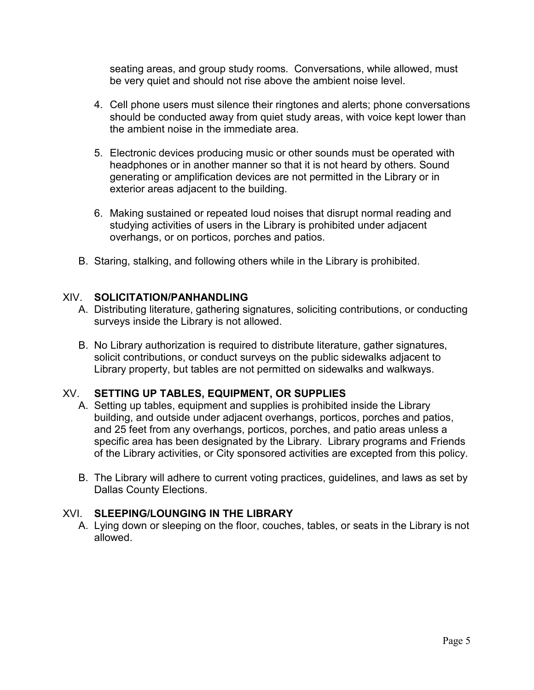seating areas, and group study rooms. Conversations, while allowed, must be very quiet and should not rise above the ambient noise level.

- 4. Cell phone users must silence their ringtones and alerts; phone conversations should be conducted away from quiet study areas, with voice kept lower than the ambient noise in the immediate area.
- 5. Electronic devices producing music or other sounds must be operated with headphones or in another manner so that it is not heard by others. Sound generating or amplification devices are not permitted in the Library or in exterior areas adjacent to the building.
- 6. Making sustained or repeated loud noises that disrupt normal reading and studying activities of users in the Library is prohibited under adjacent overhangs, or on porticos, porches and patios.
- B. Staring, stalking, and following others while in the Library is prohibited.

## XIV. **SOLICITATION/PANHANDLING**

- A. Distributing literature, gathering signatures, soliciting contributions, or conducting surveys inside the Library is not allowed.
- B. No Library authorization is required to distribute literature, gather signatures, solicit contributions, or conduct surveys on the public sidewalks adjacent to Library property, but tables are not permitted on sidewalks and walkways.

# XV. **SETTING UP TABLES, EQUIPMENT, OR SUPPLIES**

- A. Setting up tables, equipment and supplies is prohibited inside the Library building, and outside under adjacent overhangs, porticos, porches and patios, and 25 feet from any overhangs, porticos, porches, and patio areas unless a specific area has been designated by the Library. Library programs and Friends of the Library activities, or City sponsored activities are excepted from this policy.
- B. The Library will adhere to current voting practices, guidelines, and laws as set by Dallas County Elections.

## XVI. **SLEEPING/LOUNGING IN THE LIBRARY**

A. Lying down or sleeping on the floor, couches, tables, or seats in the Library is not allowed.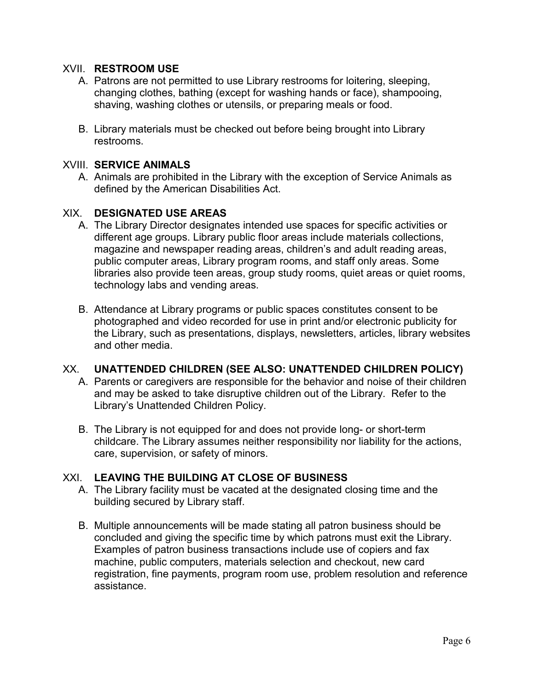### XVII. **RESTROOM USE**

- A. Patrons are not permitted to use Library restrooms for loitering, sleeping, changing clothes, bathing (except for washing hands or face), shampooing, shaving, washing clothes or utensils, or preparing meals or food.
- B. Library materials must be checked out before being brought into Library restrooms.

### XVIII. **SERVICE ANIMALS**

A. Animals are prohibited in the Library with the exception of Service Animals as defined by the American Disabilities Act.

### XIX. **DESIGNATED USE AREAS**

- A. The Library Director designates intended use spaces for specific activities or different age groups. Library public floor areas include materials collections, magazine and newspaper reading areas, children's and adult reading areas, public computer areas, Library program rooms, and staff only areas. Some libraries also provide teen areas, group study rooms, quiet areas or quiet rooms, technology labs and vending areas.
- B. Attendance at Library programs or public spaces constitutes consent to be photographed and video recorded for use in print and/or electronic publicity for the Library, such as presentations, displays, newsletters, articles, library websites and other media.

#### XX. **UNATTENDED CHILDREN (SEE ALSO: UNATTENDED CHILDREN POLICY)**

- A. Parents or caregivers are responsible for the behavior and noise of their children and may be asked to take disruptive children out of the Library. Refer to the Library's Unattended Children Policy.
- B. The Library is not equipped for and does not provide long- or short-term childcare. The Library assumes neither responsibility nor liability for the actions, care, supervision, or safety of minors.

### XXI. **LEAVING THE BUILDING AT CLOSE OF BUSINESS**

- A. The Library facility must be vacated at the designated closing time and the building secured by Library staff.
- B. Multiple announcements will be made stating all patron business should be concluded and giving the specific time by which patrons must exit the Library. Examples of patron business transactions include use of copiers and fax machine, public computers, materials selection and checkout, new card registration, fine payments, program room use, problem resolution and reference assistance.